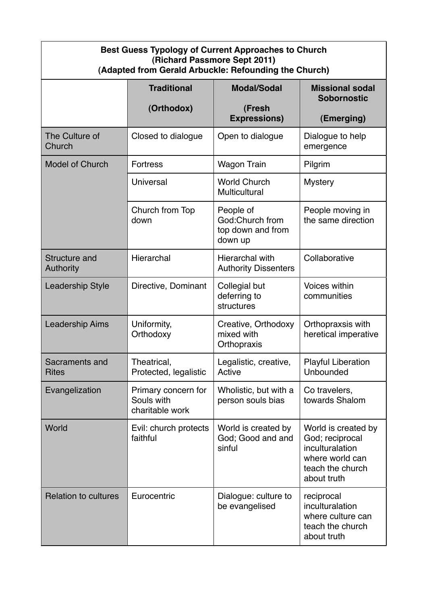| <b>Best Guess Typology of Current Approaches to Church</b><br>(Richard Passmore Sept 2011)<br>(Adapted from Gerald Arbuckle: Refounding the Church) |                                                      |                                                              |                                                                                                                 |  |
|-----------------------------------------------------------------------------------------------------------------------------------------------------|------------------------------------------------------|--------------------------------------------------------------|-----------------------------------------------------------------------------------------------------------------|--|
|                                                                                                                                                     | <b>Traditional</b>                                   | <b>Modal/Sodal</b>                                           | <b>Missional sodal</b><br><b>Sobornostic</b>                                                                    |  |
|                                                                                                                                                     | (Orthodox)                                           | (Fresh<br><b>Expressions)</b>                                | (Emerging)                                                                                                      |  |
| The Culture of<br>Church                                                                                                                            | Closed to dialogue                                   | Open to dialogue                                             | Dialogue to help<br>emergence                                                                                   |  |
| <b>Model of Church</b>                                                                                                                              | <b>Fortress</b>                                      | <b>Wagon Train</b>                                           | Pilgrim                                                                                                         |  |
|                                                                                                                                                     | <b>Universal</b>                                     | <b>World Church</b><br>Multicultural                         | <b>Mystery</b>                                                                                                  |  |
|                                                                                                                                                     | Church from Top<br>down                              | People of<br>God:Church from<br>top down and from<br>down up | People moving in<br>the same direction                                                                          |  |
| <b>Structure and</b><br><b>Authority</b>                                                                                                            | Hierarchal                                           | Hierarchal with<br><b>Authority Dissenters</b>               | Collaborative                                                                                                   |  |
| <b>Leadership Style</b>                                                                                                                             | Directive, Dominant                                  | Collegial but<br>deferring to<br>structures                  | <b>Voices within</b><br>communities                                                                             |  |
| <b>Leadership Aims</b>                                                                                                                              | Uniformity,<br>Orthodoxy                             | Creative, Orthodoxy<br>mixed with<br>Orthopraxis             | Orthopraxsis with<br>heretical imperative                                                                       |  |
| Sacraments and<br><b>Rites</b>                                                                                                                      | Theatrical,<br>Protected, legalistic                 | Legalistic, creative,<br>Active                              | <b>Playful Liberation</b><br>Unbounded                                                                          |  |
| Evangelization                                                                                                                                      | Primary concern for<br>Souls with<br>charitable work | Wholistic, but with a<br>person souls bias                   | Co travelers,<br>towards Shalom                                                                                 |  |
| World                                                                                                                                               | Evil: church protects<br>faithful                    | World is created by<br>God; Good and and<br>sinful           | World is created by<br>God; reciprocal<br>inculturalation<br>where world can<br>teach the church<br>about truth |  |
| <b>Relation to cultures</b>                                                                                                                         | Eurocentric                                          | Dialogue: culture to<br>be evangelised                       | reciprocal<br>inculturalation<br>where culture can<br>teach the church<br>about truth                           |  |